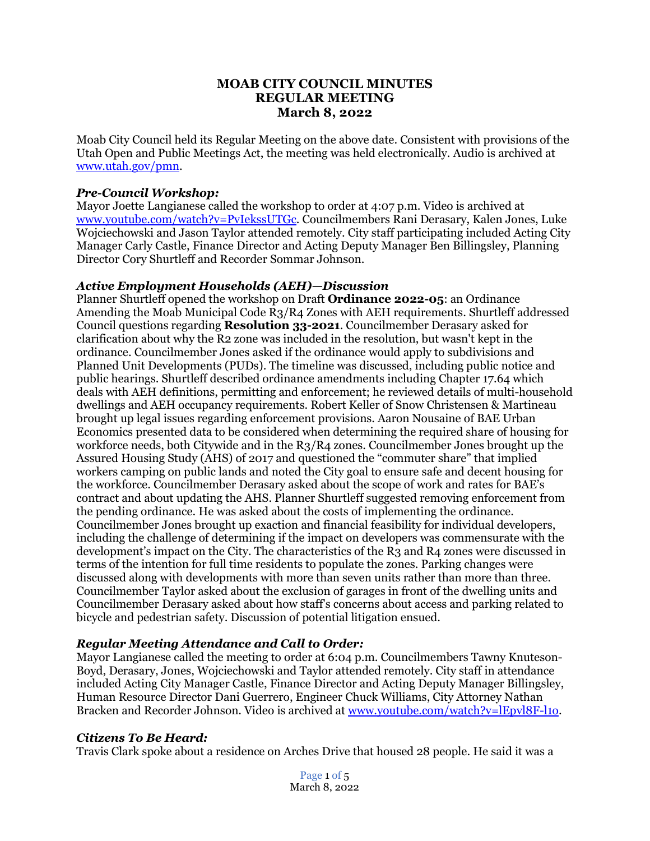#### **MOAB CITY COUNCIL MINUTES REGULAR MEETING March 8, 2022**

Moab City Council held its Regular Meeting on the above date. Consistent with provisions of the Utah Open and Public Meetings Act, the meeting was held electronically. Audio is archived at [www.utah.gov/pmn.](about:blank)

#### *Pre-Council Workshop:*

Mayor Joette Langianese called the workshop to order at 4:07 p.m. Video is archived at [www.youtube.com/watch?v=PvIekssUTGc.](http://www.youtube.com/watch?v=PvIekssUTGc) Councilmembers Rani Derasary, Kalen Jones, Luke Wojciechowski and Jason Taylor attended remotely. City staff participating included Acting City Manager Carly Castle, Finance Director and Acting Deputy Manager Ben Billingsley, Planning Director Cory Shurtleff and Recorder Sommar Johnson.

#### *Active Employment Households (AEH)—Discussion*

Planner Shurtleff opened the workshop on Draft **Ordinance 2022-05**: an Ordinance Amending the Moab Municipal Code R3/R4 Zones with AEH requirements. Shurtleff addressed Council questions regarding **Resolution 33-2021**. Councilmember Derasary asked for clarification about why the R2 zone was included in the resolution, but wasn't kept in the ordinance. Councilmember Jones asked if the ordinance would apply to subdivisions and Planned Unit Developments (PUDs). The timeline was discussed, including public notice and public hearings. Shurtleff described ordinance amendments including Chapter 17.64 which deals with AEH definitions, permitting and enforcement; he reviewed details of multi-household dwellings and AEH occupancy requirements. Robert Keller of Snow Christensen & Martineau brought up legal issues regarding enforcement provisions. Aaron Nousaine of BAE Urban Economics presented data to be considered when determining the required share of housing for workforce needs, both Citywide and in the R3/R4 zones. Councilmember Jones brought up the Assured Housing Study (AHS) of 2017 and questioned the "commuter share" that implied workers camping on public lands and noted the City goal to ensure safe and decent housing for the workforce. Councilmember Derasary asked about the scope of work and rates for BAE's contract and about updating the AHS. Planner Shurtleff suggested removing enforcement from the pending ordinance. He was asked about the costs of implementing the ordinance. Councilmember Jones brought up exaction and financial feasibility for individual developers, including the challenge of determining if the impact on developers was commensurate with the development's impact on the City. The characteristics of the R3 and R4 zones were discussed in terms of the intention for full time residents to populate the zones. Parking changes were discussed along with developments with more than seven units rather than more than three. Councilmember Taylor asked about the exclusion of garages in front of the dwelling units and Councilmember Derasary asked about how staff's concerns about access and parking related to bicycle and pedestrian safety. Discussion of potential litigation ensued.

#### *Regular Meeting Attendance and Call to Order:*

Mayor Langianese called the meeting to order at 6:04 p.m. Councilmembers Tawny Knuteson-Boyd, Derasary, Jones, Wojciechowski and Taylor attended remotely. City staff in attendance included Acting City Manager Castle, Finance Director and Acting Deputy Manager Billingsley, Human Resource Director Dani Guerrero, Engineer Chuck Williams, City Attorney Nathan Bracken and Recorder Johnson. Video is archived at [www.youtube.com/watch?v=lEpvl8F-l1o.](http://www.youtube.com/watch?v=lEpvl8F-l1o)

#### *Citizens To Be Heard:*

Travis Clark spoke about a residence on Arches Drive that housed 28 people. He said it was a

Page 1 of 5 March 8, 2022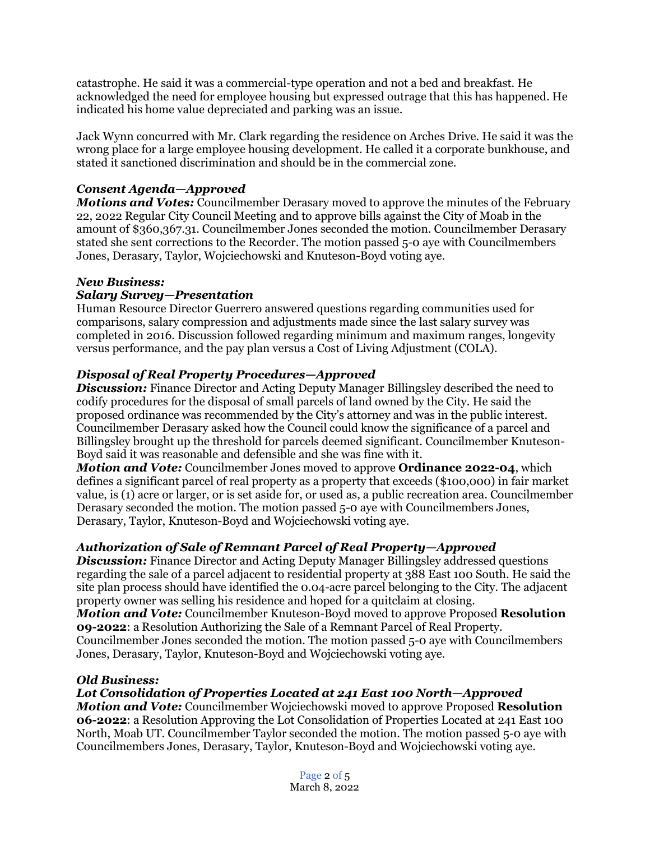catastrophe. He said it was a commercial-type operation and not a bed and breakfast. He acknowledged the need for employee housing but expressed outrage that this has happened. He indicated his home value depreciated and parking was an issue.

Jack Wynn concurred with Mr. Clark regarding the residence on Arches Drive. He said it was the wrong place for a large employee housing development. He called it a corporate bunkhouse, and stated it sanctioned discrimination and should be in the commercial zone.

## *Consent Agenda—Approved*

*Motions and Votes:* Councilmember Derasary moved to approve the minutes of the February 22, 2022 Regular City Council Meeting and to approve bills against the City of Moab in the amount of \$360,367.31. Councilmember Jones seconded the motion. Councilmember Derasary stated she sent corrections to the Recorder. The motion passed 5-0 aye with Councilmembers Jones, Derasary, Taylor, Wojciechowski and Knuteson-Boyd voting aye.

## *New Business:*

## *Salary Survey—Presentation*

Human Resource Director Guerrero answered questions regarding communities used for comparisons, salary compression and adjustments made since the last salary survey was completed in 2016. Discussion followed regarding minimum and maximum ranges, longevity versus performance, and the pay plan versus a Cost of Living Adjustment (COLA).

## *Disposal of Real Property Procedures—Approved*

**Discussion:** Finance Director and Acting Deputy Manager Billingsley described the need to codify procedures for the disposal of small parcels of land owned by the City. He said the proposed ordinance was recommended by the City's attorney and was in the public interest. Councilmember Derasary asked how the Council could know the significance of a parcel and Billingsley brought up the threshold for parcels deemed significant. Councilmember Knuteson-Boyd said it was reasonable and defensible and she was fine with it.

*Motion and Vote:* Councilmember Jones moved to approve **Ordinance 2022-04**, which defines a significant parcel of real property as a property that exceeds (\$100,000) in fair market value, is (1) acre or larger, or is set aside for, or used as, a public recreation area. Councilmember Derasary seconded the motion. The motion passed 5-0 aye with Councilmembers Jones, Derasary, Taylor, Knuteson-Boyd and Wojciechowski voting aye.

# *Authorization of Sale of Remnant Parcel of Real Property—Approved*

*Discussion:* Finance Director and Acting Deputy Manager Billingsley addressed questions regarding the sale of a parcel adjacent to residential property at 388 East 100 South. He said the site plan process should have identified the 0.04-acre parcel belonging to the City. The adjacent property owner was selling his residence and hoped for a quitclaim at closing. *Motion and Vote:* Councilmember Knuteson-Boyd moved to approve Proposed **Resolution 09-2022**: a Resolution Authorizing the Sale of a Remnant Parcel of Real Property. Councilmember Jones seconded the motion. The motion passed 5-0 aye with Councilmembers Jones, Derasary, Taylor, Knuteson-Boyd and Wojciechowski voting aye.

#### *Old Business:*

*Lot Consolidation of Properties Located at 241 East 100 North—Approved Motion and Vote:* Councilmember Wojciechowski moved to approve Proposed **Resolution 06-2022**: a Resolution Approving the Lot Consolidation of Properties Located at 241 East 100 North, Moab UT. Councilmember Taylor seconded the motion. The motion passed 5-0 aye with Councilmembers Jones, Derasary, Taylor, Knuteson-Boyd and Wojciechowski voting aye.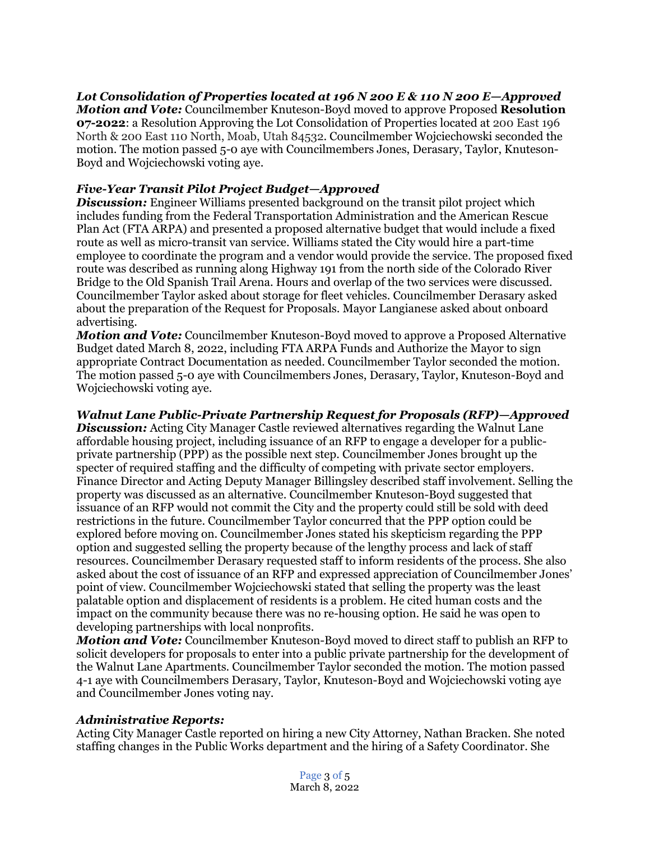*Lot Consolidation of Properties located at 196 N 200 E & 110 N 200 E—Approved Motion and Vote:* Councilmember Knuteson-Boyd moved to approve Proposed **Resolution 07-2022**: a Resolution Approving the Lot Consolidation of Properties located at 200 East 196 North & 200 East 110 North, Moab, Utah 84532. Councilmember Wojciechowski seconded the motion. The motion passed 5-0 aye with Councilmembers Jones, Derasary, Taylor, Knuteson-Boyd and Wojciechowski voting aye.

## *Five-Year Transit Pilot Project Budget—Approved*

*Discussion:* Engineer Williams presented background on the transit pilot project which includes funding from the Federal Transportation Administration and the American Rescue Plan Act (FTA ARPA) and presented a proposed alternative budget that would include a fixed route as well as micro-transit van service. Williams stated the City would hire a part-time employee to coordinate the program and a vendor would provide the service. The proposed fixed route was described as running along Highway 191 from the north side of the Colorado River Bridge to the Old Spanish Trail Arena. Hours and overlap of the two services were discussed. Councilmember Taylor asked about storage for fleet vehicles. Councilmember Derasary asked about the preparation of the Request for Proposals. Mayor Langianese asked about onboard advertising.

*Motion and Vote:* Councilmember Knuteson-Boyd moved to approve a Proposed Alternative Budget dated March 8, 2022, including FTA ARPA Funds and Authorize the Mayor to sign appropriate Contract Documentation as needed. Councilmember Taylor seconded the motion. The motion passed 5-0 aye with Councilmembers Jones, Derasary, Taylor, Knuteson-Boyd and Wojciechowski voting aye.

*Walnut Lane Public-Private Partnership Request for Proposals (RFP)—Approved Discussion:* Acting City Manager Castle reviewed alternatives regarding the Walnut Lane affordable housing project, including issuance of an RFP to engage a developer for a publicprivate partnership (PPP) as the possible next step. Councilmember Jones brought up the specter of required staffing and the difficulty of competing with private sector employers. Finance Director and Acting Deputy Manager Billingsley described staff involvement. Selling the property was discussed as an alternative. Councilmember Knuteson-Boyd suggested that issuance of an RFP would not commit the City and the property could still be sold with deed restrictions in the future. Councilmember Taylor concurred that the PPP option could be explored before moving on. Councilmember Jones stated his skepticism regarding the PPP option and suggested selling the property because of the lengthy process and lack of staff resources. Councilmember Derasary requested staff to inform residents of the process. She also asked about the cost of issuance of an RFP and expressed appreciation of Councilmember Jones' point of view. Councilmember Wojciechowski stated that selling the property was the least palatable option and displacement of residents is a problem. He cited human costs and the impact on the community because there was no re-housing option. He said he was open to developing partnerships with local nonprofits.

*Motion and Vote:* Councilmember Knuteson-Boyd moved to direct staff to publish an RFP to solicit developers for proposals to enter into a public private partnership for the development of the Walnut Lane Apartments. Councilmember Taylor seconded the motion. The motion passed 4-1 aye with Councilmembers Derasary, Taylor, Knuteson-Boyd and Wojciechowski voting aye and Councilmember Jones voting nay.

#### *Administrative Reports:*

Acting City Manager Castle reported on hiring a new City Attorney, Nathan Bracken. She noted staffing changes in the Public Works department and the hiring of a Safety Coordinator. She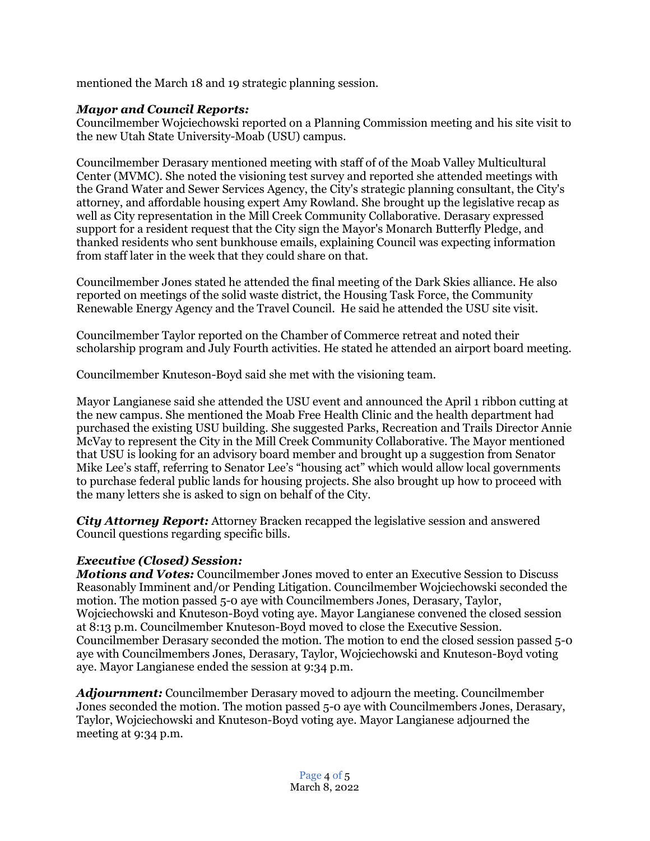mentioned the March 18 and 19 strategic planning session.

## *Mayor and Council Reports:*

Councilmember Wojciechowski reported on a Planning Commission meeting and his site visit to the new Utah State University-Moab (USU) campus.

Councilmember Derasary mentioned meeting with staff of of the Moab Valley Multicultural Center (MVMC). She noted the visioning test survey and reported she attended meetings with the Grand Water and Sewer Services Agency, the City's strategic planning consultant, the City's attorney, and affordable housing expert Amy Rowland. She brought up the legislative recap as well as City representation in the Mill Creek Community Collaborative. Derasary expressed support for a resident request that the City sign the Mayor's Monarch Butterfly Pledge, and thanked residents who sent bunkhouse emails, explaining Council was expecting information from staff later in the week that they could share on that.

Councilmember Jones stated he attended the final meeting of the Dark Skies alliance. He also reported on meetings of the solid waste district, the Housing Task Force, the Community Renewable Energy Agency and the Travel Council. He said he attended the USU site visit.

Councilmember Taylor reported on the Chamber of Commerce retreat and noted their scholarship program and July Fourth activities. He stated he attended an airport board meeting.

Councilmember Knuteson-Boyd said she met with the visioning team.

Mayor Langianese said she attended the USU event and announced the April 1 ribbon cutting at the new campus. She mentioned the Moab Free Health Clinic and the health department had purchased the existing USU building. She suggested Parks, Recreation and Trails Director Annie McVay to represent the City in the Mill Creek Community Collaborative. The Mayor mentioned that USU is looking for an advisory board member and brought up a suggestion from Senator Mike Lee's staff, referring to Senator Lee's "housing act" which would allow local governments to purchase federal public lands for housing projects. She also brought up how to proceed with the many letters she is asked to sign on behalf of the City.

*City Attorney Report:* Attorney Bracken recapped the legislative session and answered Council questions regarding specific bills.

# *Executive (Closed) Session:*

*Motions and Votes:* Councilmember Jones moved to enter an Executive Session to Discuss Reasonably Imminent and/or Pending Litigation. Councilmember Wojciechowski seconded the motion. The motion passed 5-0 aye with Councilmembers Jones, Derasary, Taylor, Wojciechowski and Knuteson-Boyd voting aye. Mayor Langianese convened the closed session at 8:13 p.m. Councilmember Knuteson-Boyd moved to close the Executive Session. Councilmember Derasary seconded the motion. The motion to end the closed session passed 5-0 aye with Councilmembers Jones, Derasary, Taylor, Wojciechowski and Knuteson-Boyd voting aye. Mayor Langianese ended the session at 9:34 p.m.

*Adjournment:* Councilmember Derasary moved to adjourn the meeting. Councilmember Jones seconded the motion. The motion passed 5-0 aye with Councilmembers Jones, Derasary, Taylor, Wojciechowski and Knuteson-Boyd voting aye. Mayor Langianese adjourned the meeting at 9:34 p.m.